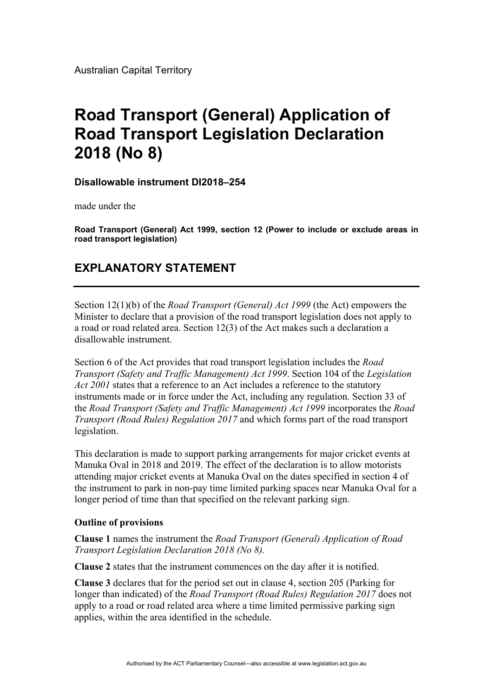Australian Capital Territory

## **Road Transport (General) Application of Road Transport Legislation Declaration 2018 (No 8)**

## **Disallowable instrument DI2018–254**

made under the

**Road Transport (General) Act 1999, section 12 (Power to include or exclude areas in road transport legislation)** 

## **EXPLANATORY STATEMENT**

Section 12(1)(b) of the *Road Transport (General) Act 1999* (the Act) empowers the Minister to declare that a provision of the road transport legislation does not apply to a road or road related area. Section 12(3) of the Act makes such a declaration a disallowable instrument.

Section 6 of the Act provides that road transport legislation includes the *Road Transport (Safety and Traffic Management) Act 1999*. Section 104 of the *Legislation Act 2001* states that a reference to an Act includes a reference to the statutory instruments made or in force under the Act, including any regulation. Section 33 of the *Road Transport (Safety and Traffic Management) Act 1999* incorporates the *Road Transport (Road Rules) Regulation 2017* and which forms part of the road transport legislation.

This declaration is made to support parking arrangements for major cricket events at Manuka Oval in 2018 and 2019. The effect of the declaration is to allow motorists attending major cricket events at Manuka Oval on the dates specified in section 4 of the instrument to park in non-pay time limited parking spaces near Manuka Oval for a longer period of time than that specified on the relevant parking sign.

## **Outline of provisions**

**Clause 1** names the instrument the *Road Transport (General) Application of Road Transport Legislation Declaration 2018 (No 8).* 

**Clause 2** states that the instrument commences on the day after it is notified.

**Clause 3** declares that for the period set out in clause 4, section 205 (Parking for longer than indicated) of the *Road Transport (Road Rules) Regulation 2017* does not apply to a road or road related area where a time limited permissive parking sign applies, within the area identified in the schedule.